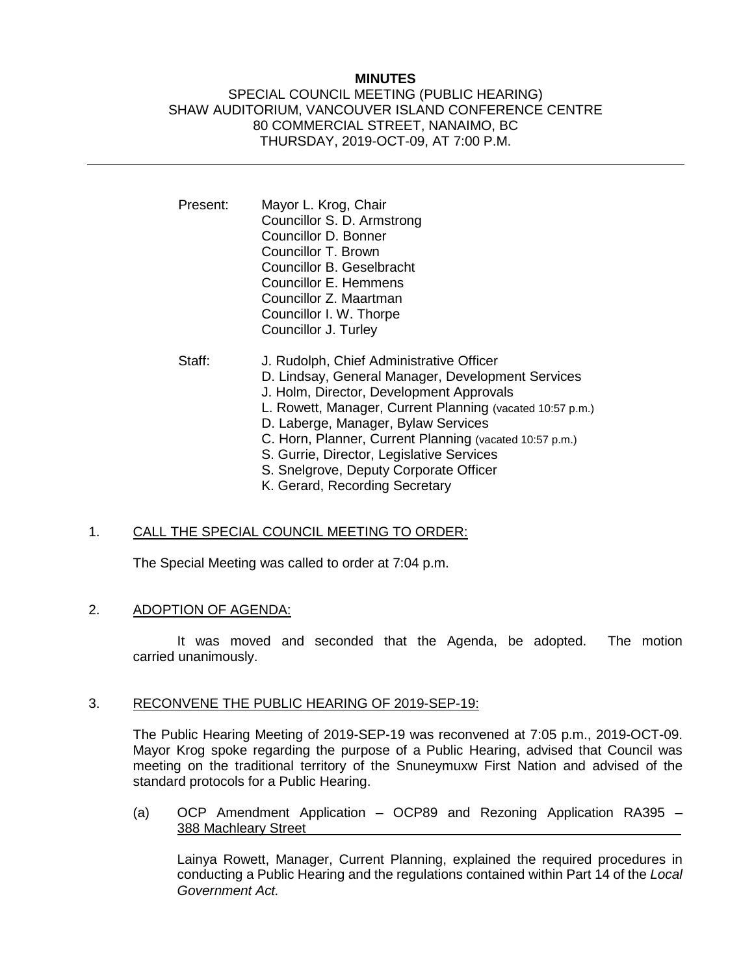## **MINUTES**

### SPECIAL COUNCIL MEETING (PUBLIC HEARING) SHAW AUDITORIUM, VANCOUVER ISLAND CONFERENCE CENTRE 80 COMMERCIAL STREET, NANAIMO, BC THURSDAY, 2019-OCT-09, AT 7:00 P.M.

- Present: Mayor L. Krog, Chair Councillor S. D. Armstrong Councillor D. Bonner Councillor T. Brown Councillor B. Geselbracht Councillor E. Hemmens Councillor Z. Maartman Councillor I. W. Thorpe Councillor J. Turley
- Staff: J. Rudolph, Chief Administrative Officer D. Lindsay, General Manager, Development Services J. Holm, Director, Development Approvals L. Rowett, Manager, Current Planning (vacated 10:57 p.m.) D. Laberge, Manager, Bylaw Services C. Horn, Planner, Current Planning (vacated 10:57 p.m.) S. Gurrie, Director, Legislative Services S. Snelgrove, Deputy Corporate Officer K. Gerard, Recording Secretary
	-

## 1. CALL THE SPECIAL COUNCIL MEETING TO ORDER:

The Special Meeting was called to order at 7:04 p.m.

#### 2. ADOPTION OF AGENDA:

It was moved and seconded that the Agenda, be adopted. The motion carried unanimously.

#### 3. RECONVENE THE PUBLIC HEARING OF 2019-SEP-19:

The Public Hearing Meeting of 2019-SEP-19 was reconvened at 7:05 p.m., 2019-OCT-09. Mayor Krog spoke regarding the purpose of a Public Hearing, advised that Council was meeting on the traditional territory of the Snuneymuxw First Nation and advised of the standard protocols for a Public Hearing.

(a) OCP Amendment Application – OCP89 and Rezoning Application RA395 – 388 Machleary Street

Lainya Rowett, Manager, Current Planning, explained the required procedures in conducting a Public Hearing and the regulations contained within Part 14 of the *Local Government Act.*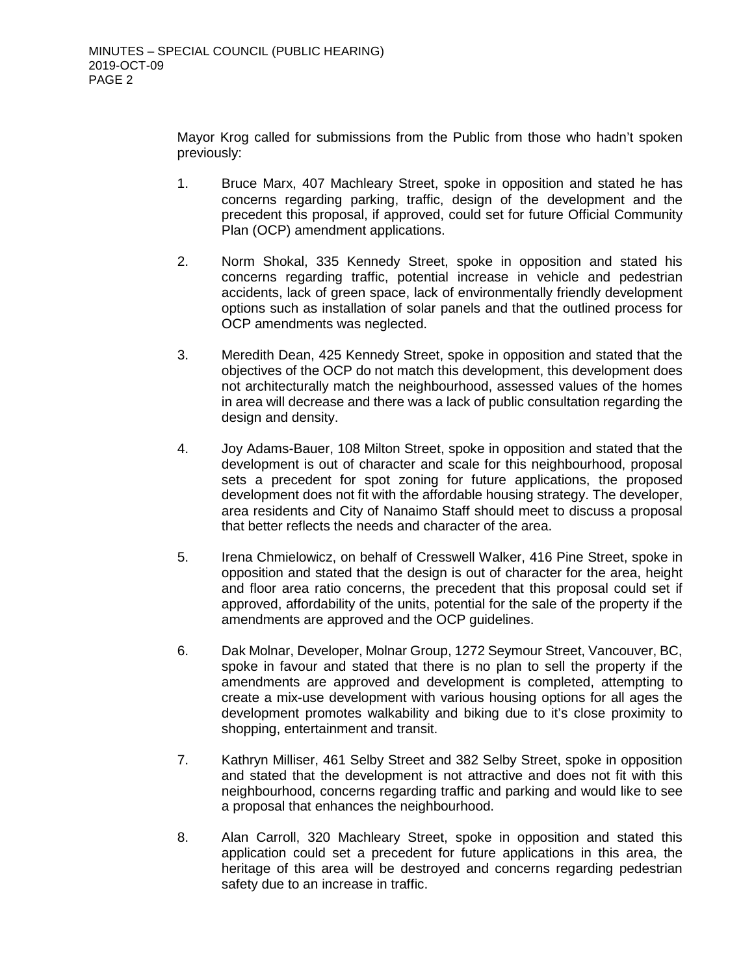Mayor Krog called for submissions from the Public from those who hadn't spoken previously:

- 1. Bruce Marx, 407 Machleary Street, spoke in opposition and stated he has concerns regarding parking, traffic, design of the development and the precedent this proposal, if approved, could set for future Official Community Plan (OCP) amendment applications.
- 2. Norm Shokal, 335 Kennedy Street, spoke in opposition and stated his concerns regarding traffic, potential increase in vehicle and pedestrian accidents, lack of green space, lack of environmentally friendly development options such as installation of solar panels and that the outlined process for OCP amendments was neglected.
- 3. Meredith Dean, 425 Kennedy Street, spoke in opposition and stated that the objectives of the OCP do not match this development, this development does not architecturally match the neighbourhood, assessed values of the homes in area will decrease and there was a lack of public consultation regarding the design and density.
- 4. Joy Adams-Bauer, 108 Milton Street, spoke in opposition and stated that the development is out of character and scale for this neighbourhood, proposal sets a precedent for spot zoning for future applications, the proposed development does not fit with the affordable housing strategy. The developer, area residents and City of Nanaimo Staff should meet to discuss a proposal that better reflects the needs and character of the area.
- 5. Irena Chmielowicz, on behalf of Cresswell Walker, 416 Pine Street, spoke in opposition and stated that the design is out of character for the area, height and floor area ratio concerns, the precedent that this proposal could set if approved, affordability of the units, potential for the sale of the property if the amendments are approved and the OCP guidelines.
- 6. Dak Molnar, Developer, Molnar Group, 1272 Seymour Street, Vancouver, BC, spoke in favour and stated that there is no plan to sell the property if the amendments are approved and development is completed, attempting to create a mix-use development with various housing options for all ages the development promotes walkability and biking due to it's close proximity to shopping, entertainment and transit.
- 7. Kathryn Milliser, 461 Selby Street and 382 Selby Street, spoke in opposition and stated that the development is not attractive and does not fit with this neighbourhood, concerns regarding traffic and parking and would like to see a proposal that enhances the neighbourhood.
- 8. Alan Carroll, 320 Machleary Street, spoke in opposition and stated this application could set a precedent for future applications in this area, the heritage of this area will be destroyed and concerns regarding pedestrian safety due to an increase in traffic.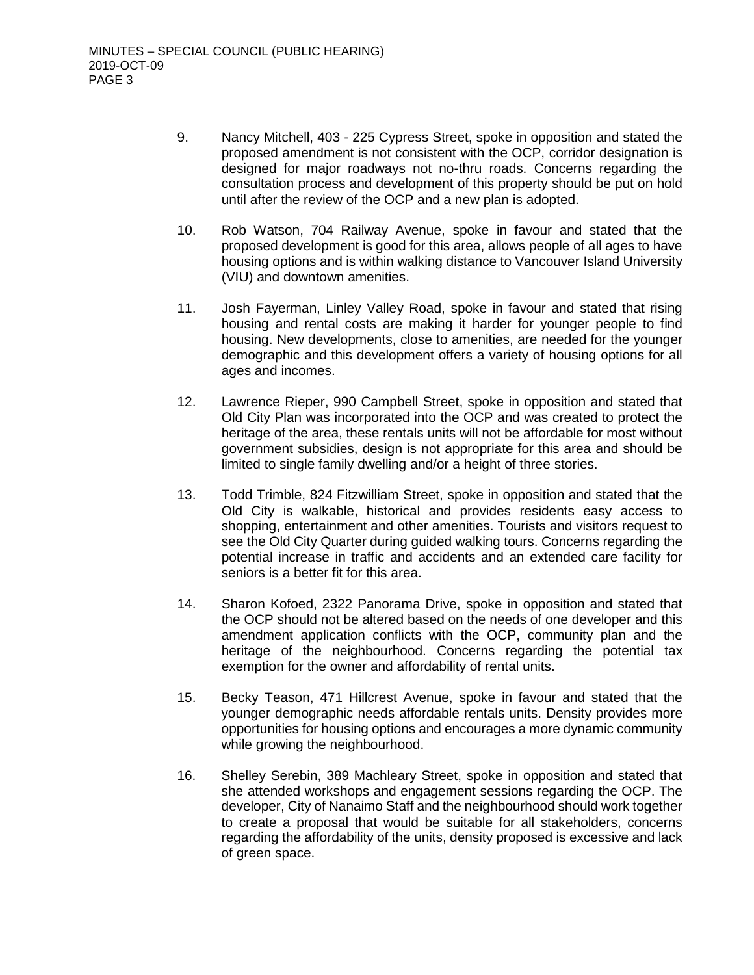- 9. Nancy Mitchell, 403 225 Cypress Street, spoke in opposition and stated the proposed amendment is not consistent with the OCP, corridor designation is designed for major roadways not no-thru roads. Concerns regarding the consultation process and development of this property should be put on hold until after the review of the OCP and a new plan is adopted.
- 10. Rob Watson, 704 Railway Avenue, spoke in favour and stated that the proposed development is good for this area, allows people of all ages to have housing options and is within walking distance to Vancouver Island University (VIU) and downtown amenities.
- 11. Josh Fayerman, Linley Valley Road, spoke in favour and stated that rising housing and rental costs are making it harder for younger people to find housing. New developments, close to amenities, are needed for the younger demographic and this development offers a variety of housing options for all ages and incomes.
- 12. Lawrence Rieper, 990 Campbell Street, spoke in opposition and stated that Old City Plan was incorporated into the OCP and was created to protect the heritage of the area, these rentals units will not be affordable for most without government subsidies, design is not appropriate for this area and should be limited to single family dwelling and/or a height of three stories.
- 13. Todd Trimble, 824 Fitzwilliam Street, spoke in opposition and stated that the Old City is walkable, historical and provides residents easy access to shopping, entertainment and other amenities. Tourists and visitors request to see the Old City Quarter during guided walking tours. Concerns regarding the potential increase in traffic and accidents and an extended care facility for seniors is a better fit for this area.
- 14. Sharon Kofoed, 2322 Panorama Drive, spoke in opposition and stated that the OCP should not be altered based on the needs of one developer and this amendment application conflicts with the OCP, community plan and the heritage of the neighbourhood. Concerns regarding the potential tax exemption for the owner and affordability of rental units.
- 15. Becky Teason, 471 Hillcrest Avenue, spoke in favour and stated that the younger demographic needs affordable rentals units. Density provides more opportunities for housing options and encourages a more dynamic community while growing the neighbourhood.
- 16. Shelley Serebin, 389 Machleary Street, spoke in opposition and stated that she attended workshops and engagement sessions regarding the OCP. The developer, City of Nanaimo Staff and the neighbourhood should work together to create a proposal that would be suitable for all stakeholders, concerns regarding the affordability of the units, density proposed is excessive and lack of green space.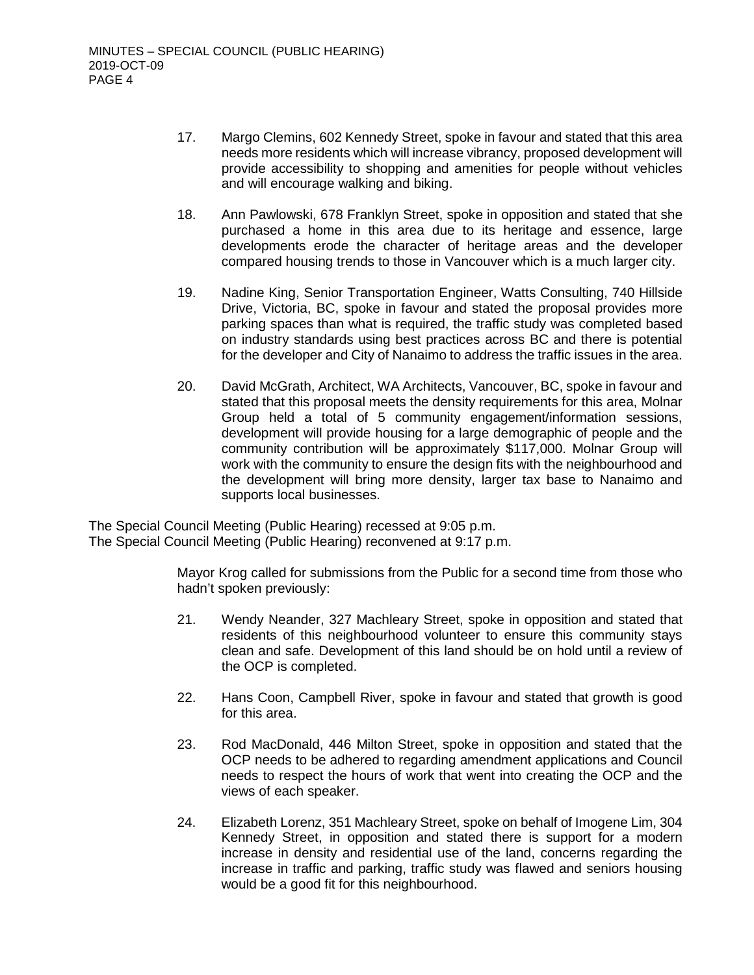- 17. Margo Clemins, 602 Kennedy Street, spoke in favour and stated that this area needs more residents which will increase vibrancy, proposed development will provide accessibility to shopping and amenities for people without vehicles and will encourage walking and biking.
- 18. Ann Pawlowski, 678 Franklyn Street, spoke in opposition and stated that she purchased a home in this area due to its heritage and essence, large developments erode the character of heritage areas and the developer compared housing trends to those in Vancouver which is a much larger city.
- 19. Nadine King, Senior Transportation Engineer, Watts Consulting, 740 Hillside Drive, Victoria, BC, spoke in favour and stated the proposal provides more parking spaces than what is required, the traffic study was completed based on industry standards using best practices across BC and there is potential for the developer and City of Nanaimo to address the traffic issues in the area.
- 20. David McGrath, Architect, WA Architects, Vancouver, BC, spoke in favour and stated that this proposal meets the density requirements for this area, Molnar Group held a total of 5 community engagement/information sessions, development will provide housing for a large demographic of people and the community contribution will be approximately \$117,000. Molnar Group will work with the community to ensure the design fits with the neighbourhood and the development will bring more density, larger tax base to Nanaimo and supports local businesses.

The Special Council Meeting (Public Hearing) recessed at 9:05 p.m. The Special Council Meeting (Public Hearing) reconvened at 9:17 p.m.

> Mayor Krog called for submissions from the Public for a second time from those who hadn't spoken previously:

- 21. Wendy Neander, 327 Machleary Street, spoke in opposition and stated that residents of this neighbourhood volunteer to ensure this community stays clean and safe. Development of this land should be on hold until a review of the OCP is completed.
- 22. Hans Coon, Campbell River, spoke in favour and stated that growth is good for this area.
- 23. Rod MacDonald, 446 Milton Street, spoke in opposition and stated that the OCP needs to be adhered to regarding amendment applications and Council needs to respect the hours of work that went into creating the OCP and the views of each speaker.
- 24. Elizabeth Lorenz, 351 Machleary Street, spoke on behalf of Imogene Lim, 304 Kennedy Street, in opposition and stated there is support for a modern increase in density and residential use of the land, concerns regarding the increase in traffic and parking, traffic study was flawed and seniors housing would be a good fit for this neighbourhood.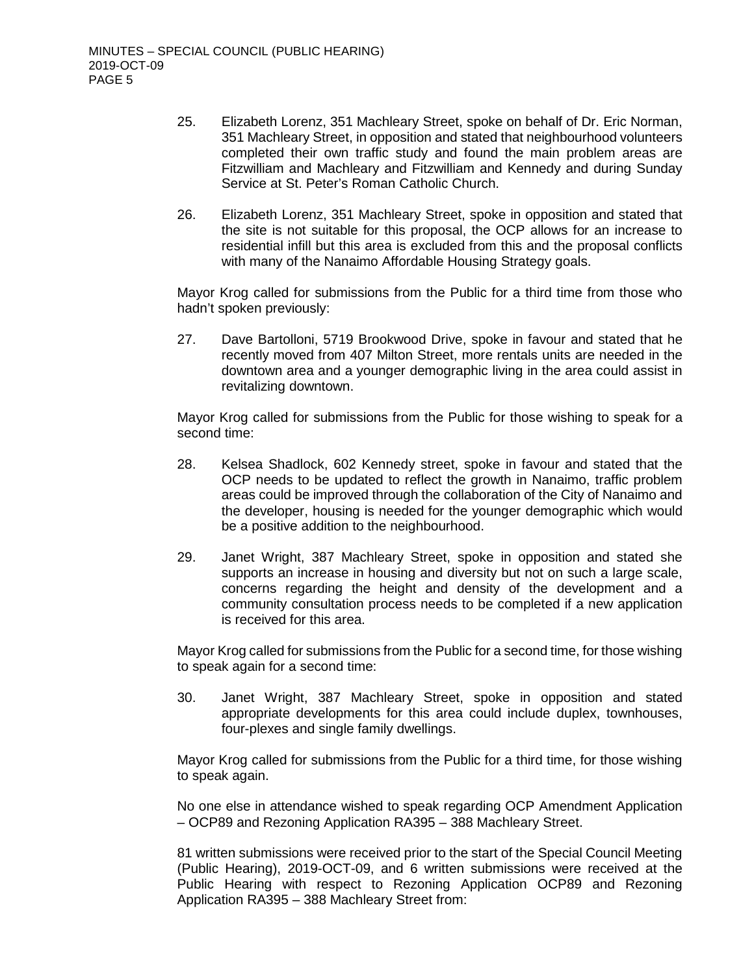- 25. Elizabeth Lorenz, 351 Machleary Street, spoke on behalf of Dr. Eric Norman, 351 Machleary Street, in opposition and stated that neighbourhood volunteers completed their own traffic study and found the main problem areas are Fitzwilliam and Machleary and Fitzwilliam and Kennedy and during Sunday Service at St. Peter's Roman Catholic Church.
- 26. Elizabeth Lorenz, 351 Machleary Street, spoke in opposition and stated that the site is not suitable for this proposal, the OCP allows for an increase to residential infill but this area is excluded from this and the proposal conflicts with many of the Nanaimo Affordable Housing Strategy goals.

Mayor Krog called for submissions from the Public for a third time from those who hadn't spoken previously:

27. Dave Bartolloni, 5719 Brookwood Drive, spoke in favour and stated that he recently moved from 407 Milton Street, more rentals units are needed in the downtown area and a younger demographic living in the area could assist in revitalizing downtown.

Mayor Krog called for submissions from the Public for those wishing to speak for a second time:

- 28. Kelsea Shadlock, 602 Kennedy street, spoke in favour and stated that the OCP needs to be updated to reflect the growth in Nanaimo, traffic problem areas could be improved through the collaboration of the City of Nanaimo and the developer, housing is needed for the younger demographic which would be a positive addition to the neighbourhood.
- 29. Janet Wright, 387 Machleary Street, spoke in opposition and stated she supports an increase in housing and diversity but not on such a large scale, concerns regarding the height and density of the development and a community consultation process needs to be completed if a new application is received for this area.

Mayor Krog called for submissions from the Public for a second time, for those wishing to speak again for a second time:

30. Janet Wright, 387 Machleary Street, spoke in opposition and stated appropriate developments for this area could include duplex, townhouses, four-plexes and single family dwellings.

Mayor Krog called for submissions from the Public for a third time, for those wishing to speak again.

No one else in attendance wished to speak regarding OCP Amendment Application – OCP89 and Rezoning Application RA395 – 388 Machleary Street.

81 written submissions were received prior to the start of the Special Council Meeting (Public Hearing), 2019-OCT-09, and 6 written submissions were received at the Public Hearing with respect to Rezoning Application OCP89 and Rezoning Application RA395 – 388 Machleary Street from: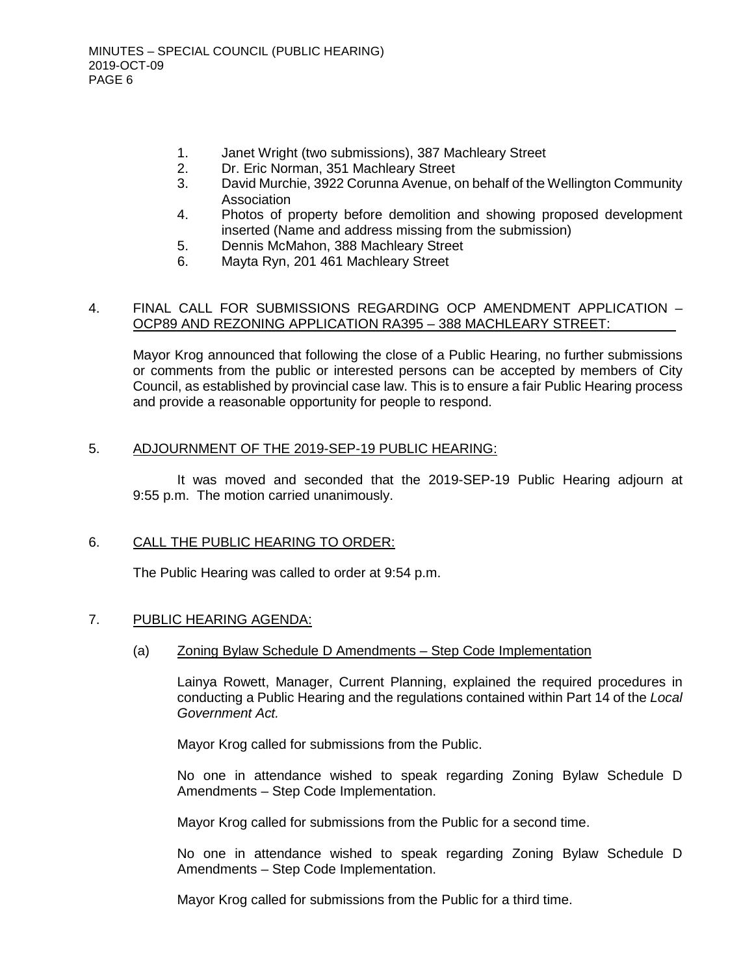- 1. Janet Wright (two submissions), 387 Machleary Street
- 2. Dr. Eric Norman, 351 Machleary Street
- 3. David Murchie, 3922 Corunna Avenue, on behalf of the Wellington Community Association
- 4. Photos of property before demolition and showing proposed development inserted (Name and address missing from the submission)
- 5. Dennis McMahon, 388 Machleary Street
- 6. Mayta Ryn, 201 461 Machleary Street

### 4. FINAL CALL FOR SUBMISSIONS REGARDING OCP AMENDMENT APPLICATION – OCP89 AND REZONING APPLICATION RA395 – 388 MACHLEARY STREET:

Mayor Krog announced that following the close of a Public Hearing, no further submissions or comments from the public or interested persons can be accepted by members of City Council, as established by provincial case law. This is to ensure a fair Public Hearing process and provide a reasonable opportunity for people to respond.

### 5. ADJOURNMENT OF THE 2019-SEP-19 PUBLIC HEARING:

It was moved and seconded that the 2019-SEP-19 Public Hearing adjourn at 9:55 p.m. The motion carried unanimously.

## 6. CALL THE PUBLIC HEARING TO ORDER:

The Public Hearing was called to order at 9:54 p.m.

## 7. PUBLIC HEARING AGENDA:

(a) Zoning Bylaw Schedule D Amendments – Step Code Implementation

Lainya Rowett, Manager, Current Planning, explained the required procedures in conducting a Public Hearing and the regulations contained within Part 14 of the *Local Government Act.*

Mayor Krog called for submissions from the Public.

No one in attendance wished to speak regarding Zoning Bylaw Schedule D Amendments – Step Code Implementation.

Mayor Krog called for submissions from the Public for a second time.

No one in attendance wished to speak regarding Zoning Bylaw Schedule D Amendments – Step Code Implementation.

Mayor Krog called for submissions from the Public for a third time.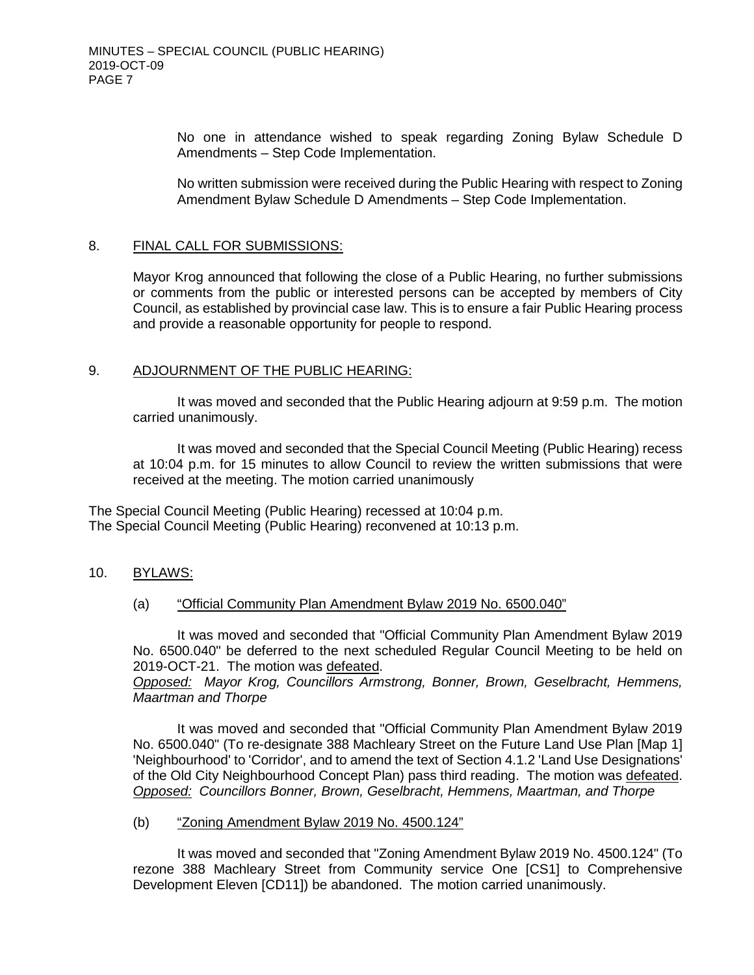No one in attendance wished to speak regarding Zoning Bylaw Schedule D Amendments – Step Code Implementation.

No written submission were received during the Public Hearing with respect to Zoning Amendment Bylaw Schedule D Amendments – Step Code Implementation.

#### 8. FINAL CALL FOR SUBMISSIONS:

Mayor Krog announced that following the close of a Public Hearing, no further submissions or comments from the public or interested persons can be accepted by members of City Council, as established by provincial case law. This is to ensure a fair Public Hearing process and provide a reasonable opportunity for people to respond.

### 9. ADJOURNMENT OF THE PUBLIC HEARING:

It was moved and seconded that the Public Hearing adjourn at 9:59 p.m. The motion carried unanimously.

It was moved and seconded that the Special Council Meeting (Public Hearing) recess at 10:04 p.m. for 15 minutes to allow Council to review the written submissions that were received at the meeting. The motion carried unanimously

The Special Council Meeting (Public Hearing) recessed at 10:04 p.m. The Special Council Meeting (Public Hearing) reconvened at 10:13 p.m.

10. BYLAWS:

#### (a) "Official Community Plan Amendment Bylaw 2019 No. 6500.040"

It was moved and seconded that "Official Community Plan Amendment Bylaw 2019 No. 6500.040" be deferred to the next scheduled Regular Council Meeting to be held on 2019-OCT-21. The motion was defeated.

*Opposed: Mayor Krog, Councillors Armstrong, Bonner, Brown, Geselbracht, Hemmens, Maartman and Thorpe*

It was moved and seconded that "Official Community Plan Amendment Bylaw 2019 No. 6500.040" (To re-designate 388 Machleary Street on the Future Land Use Plan [Map 1] 'Neighbourhood' to 'Corridor', and to amend the text of Section 4.1.2 'Land Use Designations' of the Old City Neighbourhood Concept Plan) pass third reading. The motion was defeated. *Opposed: Councillors Bonner, Brown, Geselbracht, Hemmens, Maartman, and Thorpe*

#### (b) "Zoning Amendment Bylaw 2019 No. 4500.124"

It was moved and seconded that "Zoning Amendment Bylaw 2019 No. 4500.124" (To rezone 388 Machleary Street from Community service One [CS1] to Comprehensive Development Eleven [CD11]) be abandoned. The motion carried unanimously.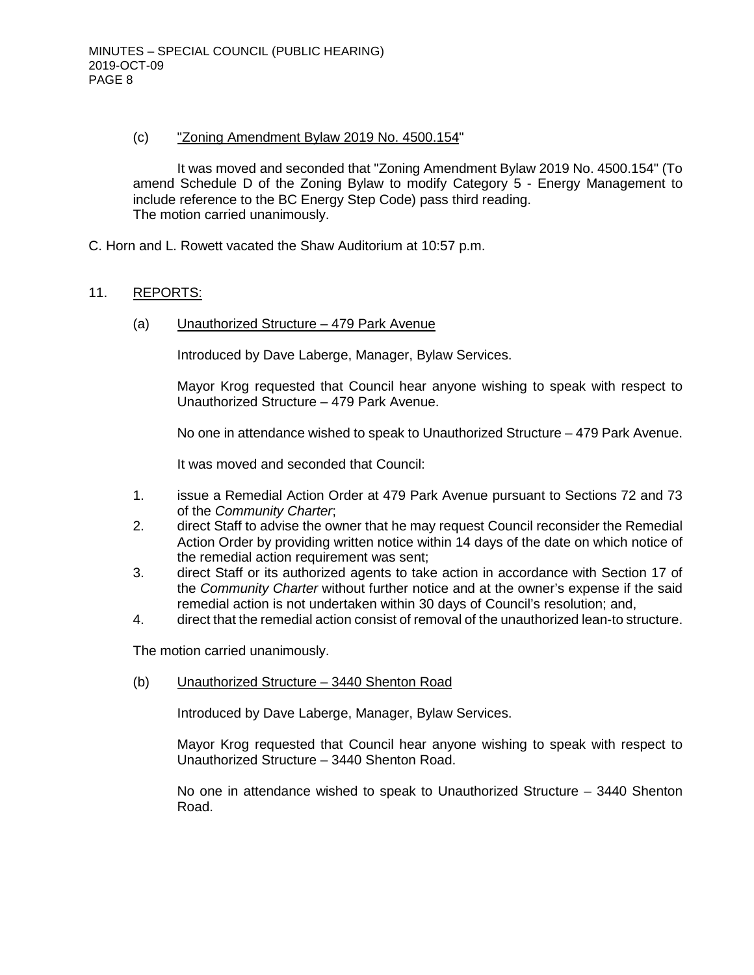### (c) "Zoning Amendment Bylaw 2019 No. 4500.154"

It was moved and seconded that "Zoning Amendment Bylaw 2019 No. 4500.154" (To amend Schedule D of the Zoning Bylaw to modify Category 5 - Energy Management to include reference to the BC Energy Step Code) pass third reading. The motion carried unanimously.

C. Horn and L. Rowett vacated the Shaw Auditorium at 10:57 p.m.

## 11. REPORTS:

(a) Unauthorized Structure – 479 Park Avenue

Introduced by Dave Laberge, Manager, Bylaw Services.

Mayor Krog requested that Council hear anyone wishing to speak with respect to Unauthorized Structure – 479 Park Avenue.

No one in attendance wished to speak to Unauthorized Structure – 479 Park Avenue.

It was moved and seconded that Council:

- 1. issue a Remedial Action Order at 479 Park Avenue pursuant to Sections 72 and 73 of the *Community Charter*;
- 2. direct Staff to advise the owner that he may request Council reconsider the Remedial Action Order by providing written notice within 14 days of the date on which notice of the remedial action requirement was sent;
- 3. direct Staff or its authorized agents to take action in accordance with Section 17 of the *Community Charter* without further notice and at the owner's expense if the said remedial action is not undertaken within 30 days of Council's resolution; and,
- 4. direct that the remedial action consist of removal of the unauthorized lean-to structure.

The motion carried unanimously.

(b) Unauthorized Structure – 3440 Shenton Road

Introduced by Dave Laberge, Manager, Bylaw Services.

Mayor Krog requested that Council hear anyone wishing to speak with respect to Unauthorized Structure – 3440 Shenton Road.

No one in attendance wished to speak to Unauthorized Structure – 3440 Shenton Road.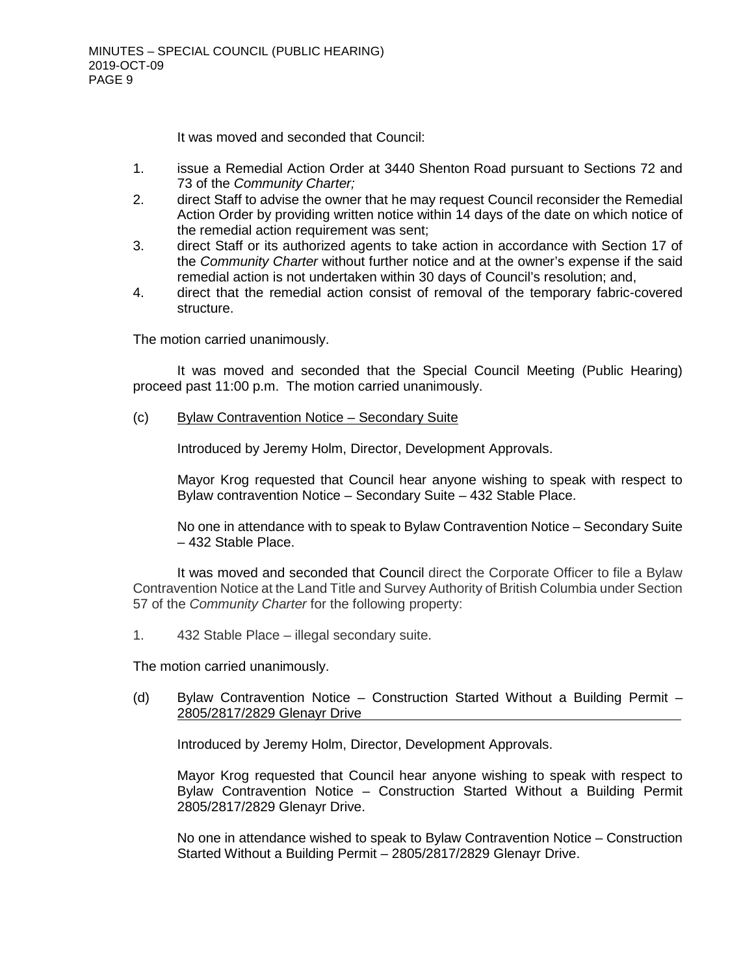It was moved and seconded that Council:

- 1. issue a Remedial Action Order at 3440 Shenton Road pursuant to Sections 72 and 73 of the *Community Charter;*
- 2. direct Staff to advise the owner that he may request Council reconsider the Remedial Action Order by providing written notice within 14 days of the date on which notice of the remedial action requirement was sent;
- 3. direct Staff or its authorized agents to take action in accordance with Section 17 of the *Community Charter* without further notice and at the owner's expense if the said remedial action is not undertaken within 30 days of Council's resolution; and,
- 4. direct that the remedial action consist of removal of the temporary fabric-covered structure.

The motion carried unanimously.

It was moved and seconded that the Special Council Meeting (Public Hearing) proceed past 11:00 p.m. The motion carried unanimously.

(c) Bylaw Contravention Notice – Secondary Suite

Introduced by Jeremy Holm, Director, Development Approvals.

Mayor Krog requested that Council hear anyone wishing to speak with respect to Bylaw contravention Notice – Secondary Suite – 432 Stable Place.

No one in attendance with to speak to Bylaw Contravention Notice – Secondary Suite – 432 Stable Place.

It was moved and seconded that Council direct the Corporate Officer to file a Bylaw Contravention Notice at the Land Title and Survey Authority of British Columbia under Section 57 of the *Community Charter* for the following property:

1. 432 Stable Place – illegal secondary suite.

The motion carried unanimously.

(d) Bylaw Contravention Notice – Construction Started Without a Building Permit – 2805/2817/2829 Glenayr Drive

Introduced by Jeremy Holm, Director, Development Approvals.

Mayor Krog requested that Council hear anyone wishing to speak with respect to Bylaw Contravention Notice – Construction Started Without a Building Permit 2805/2817/2829 Glenayr Drive.

No one in attendance wished to speak to Bylaw Contravention Notice – Construction Started Without a Building Permit – 2805/2817/2829 Glenayr Drive.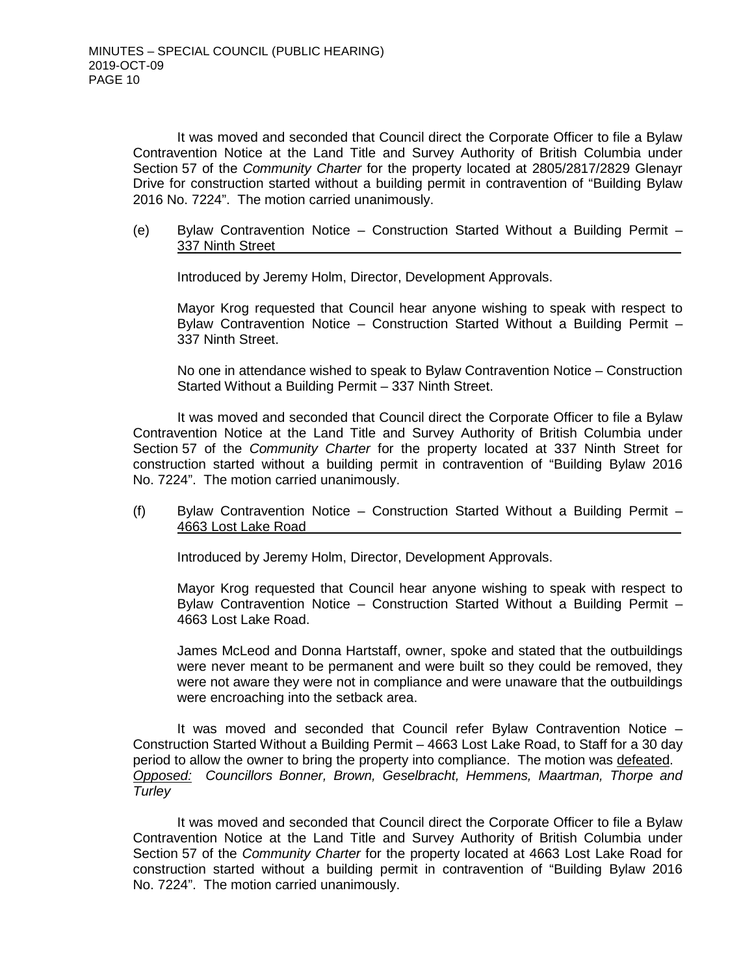It was moved and seconded that Council direct the Corporate Officer to file a Bylaw Contravention Notice at the Land Title and Survey Authority of British Columbia under Section 57 of the *Community Charter* for the property located at 2805/2817/2829 Glenayr Drive for construction started without a building permit in contravention of "Building Bylaw 2016 No. 7224". The motion carried unanimously.

(e) Bylaw Contravention Notice – Construction Started Without a Building Permit – 337 Ninth Street

Introduced by Jeremy Holm, Director, Development Approvals.

Mayor Krog requested that Council hear anyone wishing to speak with respect to Bylaw Contravention Notice – Construction Started Without a Building Permit – 337 Ninth Street.

No one in attendance wished to speak to Bylaw Contravention Notice – Construction Started Without a Building Permit – 337 Ninth Street.

It was moved and seconded that Council direct the Corporate Officer to file a Bylaw Contravention Notice at the Land Title and Survey Authority of British Columbia under Section 57 of the *Community Charter* for the property located at 337 Ninth Street for construction started without a building permit in contravention of "Building Bylaw 2016 No. 7224". The motion carried unanimously.

(f) Bylaw Contravention Notice – Construction Started Without a Building Permit – 4663 Lost Lake Road

Introduced by Jeremy Holm, Director, Development Approvals.

Mayor Krog requested that Council hear anyone wishing to speak with respect to Bylaw Contravention Notice – Construction Started Without a Building Permit – 4663 Lost Lake Road.

James McLeod and Donna Hartstaff, owner, spoke and stated that the outbuildings were never meant to be permanent and were built so they could be removed, they were not aware they were not in compliance and were unaware that the outbuildings were encroaching into the setback area.

It was moved and seconded that Council refer Bylaw Contravention Notice – Construction Started Without a Building Permit – 4663 Lost Lake Road, to Staff for a 30 day period to allow the owner to bring the property into compliance. The motion was defeated. *Opposed: Councillors Bonner, Brown, Geselbracht, Hemmens, Maartman, Thorpe and Turley*

It was moved and seconded that Council direct the Corporate Officer to file a Bylaw Contravention Notice at the Land Title and Survey Authority of British Columbia under Section 57 of the *Community Charter* for the property located at 4663 Lost Lake Road for construction started without a building permit in contravention of "Building Bylaw 2016 No. 7224". The motion carried unanimously.